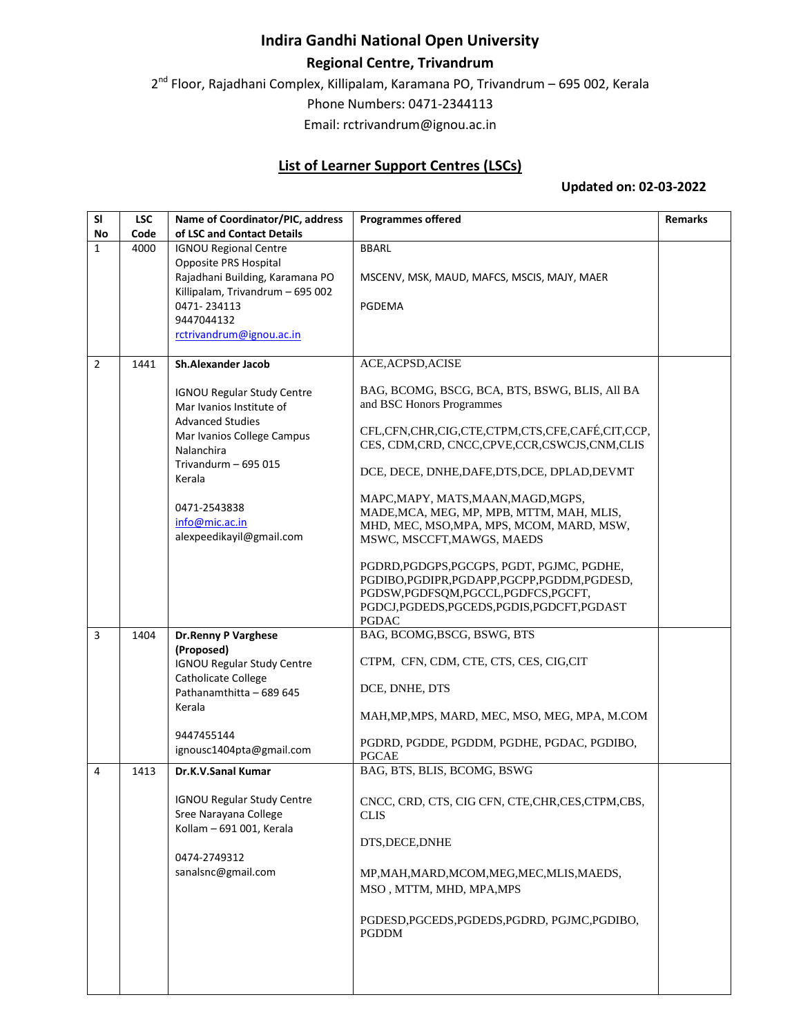## **Indira Gandhi National Open University**

## **Regional Centre, Trivandrum**

2<sup>nd</sup> Floor, Rajadhani Complex, Killipalam, Karamana PO, Trivandrum – 695 002, Kerala

Phone Numbers: 0471-2344113

Email: rctrivandrum@ignou.ac.in

## **List of Learner Support Centres (LSCs)**

## **Updated on: 02-03-2022**

| <b>SI</b>      | <b>LSC</b> | Name of Coordinator/PIC, address                         | <b>Programmes offered</b>                                  | <b>Remarks</b> |
|----------------|------------|----------------------------------------------------------|------------------------------------------------------------|----------------|
| No             | Code       | of LSC and Contact Details                               |                                                            |                |
| $\mathbf{1}$   | 4000       | <b>IGNOU Regional Centre</b>                             | <b>BBARL</b>                                               |                |
|                |            | Opposite PRS Hospital<br>Rajadhani Building, Karamana PO | MSCENV, MSK, MAUD, MAFCS, MSCIS, MAJY, MAER                |                |
|                |            | Killipalam, Trivandrum - 695 002                         |                                                            |                |
|                |            | 0471-234113                                              | <b>PGDEMA</b>                                              |                |
|                |            | 9447044132                                               |                                                            |                |
|                |            | rctrivandrum@ignou.ac.in                                 |                                                            |                |
| $\overline{2}$ | 1441       | <b>Sh.Alexander Jacob</b>                                | ACE, ACPSD, ACISE                                          |                |
|                |            |                                                          |                                                            |                |
|                |            | <b>IGNOU Regular Study Centre</b>                        | BAG, BCOMG, BSCG, BCA, BTS, BSWG, BLIS, All BA             |                |
|                |            | Mar Ivanios Institute of                                 | and BSC Honors Programmes                                  |                |
|                |            | <b>Advanced Studies</b>                                  | CFL,CFN,CHR,CIG,CTE,CTPM,CTS,CFE,CAFÉ,CIT,CCP,             |                |
|                |            | Mar Ivanios College Campus<br><b>Nalanchira</b>          | CES, CDM,CRD, CNCC,CPVE,CCR,CSWCJS,CNM,CLIS                |                |
|                |            | Trivandurm $-695015$                                     |                                                            |                |
|                |            | Kerala                                                   | DCE, DECE, DNHE, DAFE, DTS, DCE, DPLAD, DEVMT              |                |
|                |            |                                                          | MAPC, MAPY, MATS, MAAN, MAGD, MGPS,                        |                |
|                |            | 0471-2543838                                             | MADE, MCA, MEG, MP, MPB, MTTM, MAH, MLIS,                  |                |
|                |            | info@mic.ac.in                                           | MHD, MEC, MSO, MPA, MPS, MCOM, MARD, MSW,                  |                |
|                |            | alexpeedikayil@gmail.com                                 | MSWC, MSCCFT, MAWGS, MAEDS                                 |                |
|                |            |                                                          | PGDRD, PGDGPS, PGCGPS, PGDT, PGJMC, PGDHE,                 |                |
|                |            |                                                          | PGDIBO, PGDIPR, PGDAPP, PGCPP, PGDDM, PGDESD,              |                |
|                |            |                                                          | PGDSW,PGDFSQM,PGCCL,PGDFCS,PGCFT,                          |                |
|                |            |                                                          | PGDCJ,PGDEDS,PGCEDS,PGDIS,PGDCFT,PGDAST<br><b>PGDAC</b>    |                |
| $\overline{3}$ | 1404       | <b>Dr.Renny P Varghese</b>                               | BAG, BCOMG, BSCG, BSWG, BTS                                |                |
|                |            | (Proposed)                                               |                                                            |                |
|                |            | <b>IGNOU Regular Study Centre</b>                        | CTPM, CFN, CDM, CTE, CTS, CES, CIG, CIT                    |                |
|                |            | Catholicate College                                      | DCE, DNHE, DTS                                             |                |
|                |            | Pathanamthitta - 689 645                                 |                                                            |                |
|                |            | Kerala                                                   | MAH, MP, MPS, MARD, MEC, MSO, MEG, MPA, M.COM              |                |
|                |            | 9447455144                                               |                                                            |                |
|                |            | ignousc1404pta@gmail.com                                 | PGDRD, PGDDE, PGDDM, PGDHE, PGDAC, PGDIBO,<br><b>PGCAE</b> |                |
| 4              | 1413       | Dr.K.V.Sanal Kumar                                       | BAG, BTS, BLIS, BCOMG, BSWG                                |                |
|                |            |                                                          |                                                            |                |
|                |            | <b>IGNOU Regular Study Centre</b>                        | CNCC, CRD, CTS, CIG CFN, CTE, CHR, CES, CTPM, CBS,         |                |
|                |            | Sree Narayana College                                    | <b>CLIS</b>                                                |                |
|                |            | Kollam - 691 001, Kerala                                 | DTS, DECE, DNHE                                            |                |
|                |            | 0474-2749312                                             |                                                            |                |
|                |            | sanalsnc@gmail.com                                       | MP, MAH, MARD, MCOM, MEG, MEC, MLIS, MAEDS,                |                |
|                |            |                                                          | MSO, MTTM, MHD, MPA, MPS                                   |                |
|                |            |                                                          |                                                            |                |
|                |            |                                                          | PGDESD, PGCEDS, PGDEDS, PGDRD, PGJMC, PGDIBO,              |                |
|                |            |                                                          | PGDDM                                                      |                |
|                |            |                                                          |                                                            |                |
|                |            |                                                          |                                                            |                |
|                |            |                                                          |                                                            |                |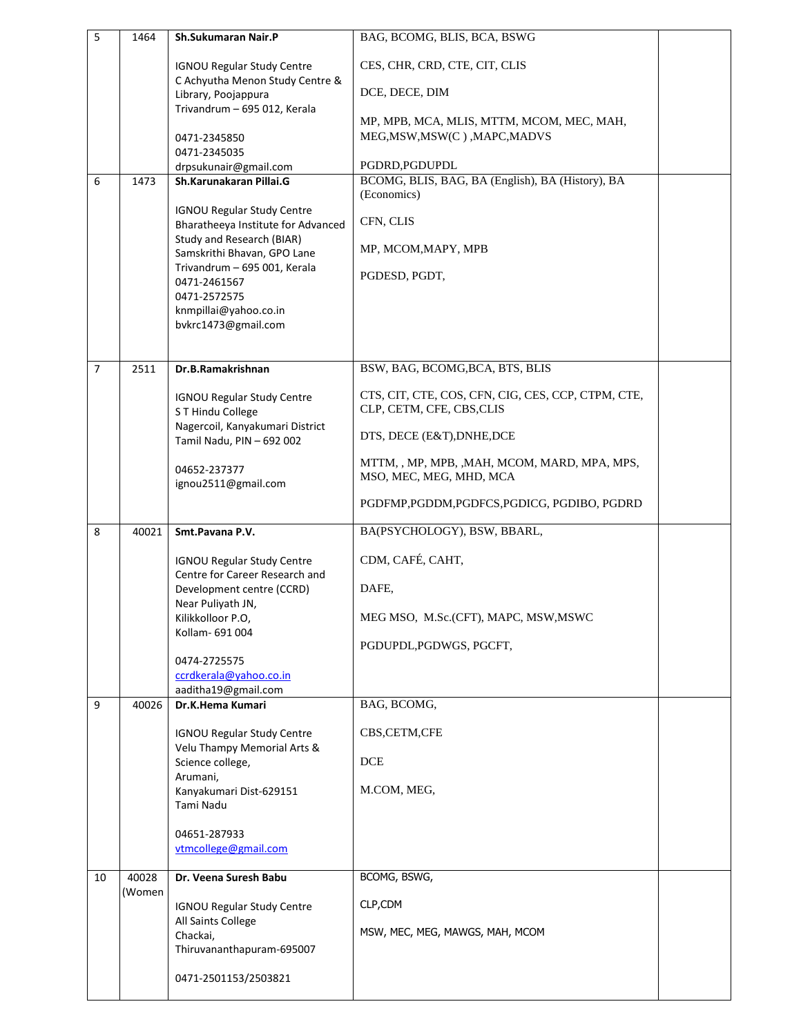| 5                | 1464   | Sh.Sukumaran Nair.P                                                 | BAG, BCOMG, BLIS, BCA, BSWG                                                     |  |
|------------------|--------|---------------------------------------------------------------------|---------------------------------------------------------------------------------|--|
|                  |        | <b>IGNOU Regular Study Centre</b>                                   | CES, CHR, CRD, CTE, CIT, CLIS                                                   |  |
|                  |        | C Achyutha Menon Study Centre &<br>Library, Poojappura              | DCE, DECE, DIM                                                                  |  |
|                  |        | Trivandrum - 695 012, Kerala                                        | MP, MPB, MCA, MLIS, MTTM, MCOM, MEC, MAH,                                       |  |
|                  |        | 0471-2345850<br>0471-2345035                                        | MEG, MSW, MSW(C), MAPC, MADVS                                                   |  |
|                  |        | drpsukunair@gmail.com                                               | PGDRD, PGDUPDL                                                                  |  |
| $\boldsymbol{6}$ | 1473   | Sh.Karunakaran Pillai.G                                             | BCOMG, BLIS, BAG, BA (English), BA (History), BA                                |  |
|                  |        | <b>IGNOU Regular Study Centre</b>                                   | (Economics)                                                                     |  |
|                  |        | Bharatheeya Institute for Advanced                                  | CFN, CLIS                                                                       |  |
|                  |        | Study and Research (BIAR)<br>Samskrithi Bhavan, GPO Lane            | MP, MCOM, MAPY, MPB                                                             |  |
|                  |        | Trivandrum - 695 001, Kerala                                        | PGDESD, PGDT,                                                                   |  |
|                  |        | 0471-2461567<br>0471-2572575                                        |                                                                                 |  |
|                  |        | knmpillai@yahoo.co.in                                               |                                                                                 |  |
|                  |        | bvkrc1473@gmail.com                                                 |                                                                                 |  |
|                  |        |                                                                     |                                                                                 |  |
| $\overline{7}$   | 2511   | Dr.B.Ramakrishnan                                                   | BSW, BAG, BCOMG, BCA, BTS, BLIS                                                 |  |
|                  |        | <b>IGNOU Regular Study Centre</b><br>S T Hindu College              | CTS, CIT, CTE, COS, CFN, CIG, CES, CCP, CTPM, CTE,<br>CLP, CETM, CFE, CBS, CLIS |  |
|                  |        | Nagercoil, Kanyakumari District                                     |                                                                                 |  |
|                  |        | Tamil Nadu, PIN - 692 002                                           | DTS, DECE (E&T), DNHE, DCE                                                      |  |
|                  |        | 04652-237377                                                        | MTTM, , MP, MPB, , MAH, MCOM, MARD, MPA, MPS,<br>MSO, MEC, MEG, MHD, MCA        |  |
|                  |        | ignou2511@gmail.com                                                 |                                                                                 |  |
|                  |        |                                                                     | PGDFMP, PGDDM, PGDFCS, PGDICG, PGDIBO, PGDRD                                    |  |
| 8                | 40021  | Smt.Pavana P.V.                                                     | BA(PSYCHOLOGY), BSW, BBARL,                                                     |  |
|                  |        | <b>IGNOU Regular Study Centre</b><br>Centre for Career Research and | CDM, CAFÉ, CAHT,                                                                |  |
|                  |        | Development centre (CCRD)                                           | DAFE,                                                                           |  |
|                  |        | Near Puliyath JN,<br>Kilikkolloor P.O,                              | MEG MSO, M.Sc.(CFT), MAPC, MSW, MSWC                                            |  |
|                  |        | Kollam- 691 004                                                     | PGDUPDL, PGDWGS, PGCFT,                                                         |  |
|                  |        | 0474-2725575                                                        |                                                                                 |  |
|                  |        | ccrdkerala@yahoo.co.in<br>aaditha19@gmail.com                       |                                                                                 |  |
| 9                | 40026  | Dr.K.Hema Kumari                                                    | BAG, BCOMG,                                                                     |  |
|                  |        | <b>IGNOU Regular Study Centre</b>                                   | CBS,CETM,CFE                                                                    |  |
|                  |        | Velu Thampy Memorial Arts &<br>Science college,                     | <b>DCE</b>                                                                      |  |
|                  |        | Arumani,                                                            |                                                                                 |  |
|                  |        | Kanyakumari Dist-629151<br>Tami Nadu                                | M.COM, MEG,                                                                     |  |
|                  |        | 04651-287933                                                        |                                                                                 |  |
|                  |        | vtmcollege@gmail.com                                                |                                                                                 |  |
| 10               | 40028  | Dr. Veena Suresh Babu                                               | BCOMG, BSWG,                                                                    |  |
|                  | (Women | <b>IGNOU Regular Study Centre</b>                                   | CLP,CDM                                                                         |  |
|                  |        | All Saints College                                                  |                                                                                 |  |
|                  |        | Chackai,<br>Thiruvananthapuram-695007                               | MSW, MEC, MEG, MAWGS, MAH, MCOM                                                 |  |
|                  |        |                                                                     |                                                                                 |  |
|                  |        | 0471-2501153/2503821                                                |                                                                                 |  |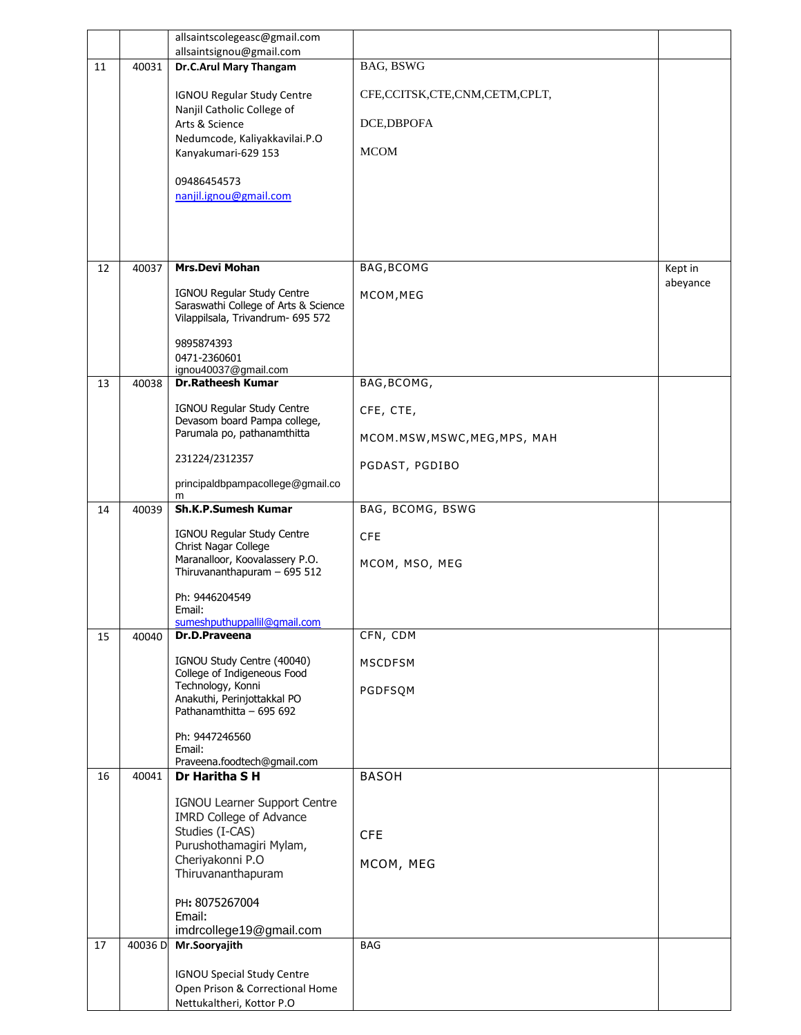|    |         | allsaintscolegeasc@gmail.com                                              |                               |          |
|----|---------|---------------------------------------------------------------------------|-------------------------------|----------|
|    |         | allsaintsignou@gmail.com                                                  |                               |          |
| 11 | 40031   | Dr.C.Arul Mary Thangam                                                    | BAG, BSWG                     |          |
|    |         | <b>IGNOU Regular Study Centre</b><br>Nanjil Catholic College of           | CFE,CCITSK,CTE,CNM,CETM,CPLT, |          |
|    |         | Arts & Science                                                            | DCE, DBPOFA                   |          |
|    |         | Nedumcode, Kaliyakkavilai.P.O<br>Kanyakumari-629 153                      | <b>MCOM</b>                   |          |
|    |         |                                                                           |                               |          |
|    |         | 09486454573                                                               |                               |          |
|    |         | nanjil.ignou@gmail.com                                                    |                               |          |
|    |         |                                                                           |                               |          |
|    |         |                                                                           |                               |          |
| 12 | 40037   | <b>Mrs.Devi Mohan</b>                                                     | BAG, BCOMG                    | Kept in  |
|    |         | IGNOU Regular Study Centre                                                | MCOM, MEG                     | abeyance |
|    |         | Saraswathi College of Arts & Science<br>Vilappilsala, Trivandrum- 695 572 |                               |          |
|    |         |                                                                           |                               |          |
|    |         | 9895874393<br>0471-2360601                                                |                               |          |
|    |         | ignou40037@gmail.com                                                      |                               |          |
| 13 | 40038   | <b>Dr.Ratheesh Kumar</b>                                                  | BAG, BCOMG,                   |          |
|    |         | IGNOU Regular Study Centre<br>Devasom board Pampa college,                | CFE, CTE,                     |          |
|    |         | Parumala po, pathanamthitta                                               | MCOM.MSW, MSWC, MEG, MPS, MAH |          |
|    |         | 231224/2312357                                                            |                               |          |
|    |         | principaldbpampacollege@gmail.co                                          | PGDAST, PGDIBO                |          |
|    |         | m                                                                         |                               |          |
| 14 | 40039   | <b>Sh.K.P.Sumesh Kumar</b>                                                | BAG, BCOMG, BSWG              |          |
|    |         | IGNOU Regular Study Centre<br>Christ Nagar College                        | <b>CFE</b>                    |          |
|    |         | Maranalloor, Koovalassery P.O.                                            | MCOM, MSO, MEG                |          |
|    |         | Thiruvananthapuram - 695 512                                              |                               |          |
|    |         | Ph: 9446204549<br>Email:                                                  |                               |          |
|    |         | sumeshputhuppallil@qmail.com                                              |                               |          |
| 15 | 40040   | Dr.D.Praveena                                                             | CFN, CDM                      |          |
|    |         | IGNOU Study Centre (40040)                                                | <b>MSCDFSM</b>                |          |
|    |         | College of Indigeneous Food<br>Technology, Konni                          | PGDFSQM                       |          |
|    |         | Anakuthi, Perinjottakkal PO<br>Pathanamthitta - 695 692                   |                               |          |
|    |         |                                                                           |                               |          |
|    |         | Ph: 9447246560<br>Email:                                                  |                               |          |
| 16 | 40041   | Praveena.foodtech@gmail.com<br>Dr Haritha S H                             | <b>BASOH</b>                  |          |
|    |         |                                                                           |                               |          |
|    |         | IGNOU Learner Support Centre<br><b>IMRD College of Advance</b>            |                               |          |
|    |         | Studies (I-CAS)                                                           | <b>CFE</b>                    |          |
|    |         | Purushothamagiri Mylam,<br>Cheriyakonni P.O                               |                               |          |
|    |         | Thiruvananthapuram                                                        | MCOM, MEG                     |          |
|    |         | PH: 8075267004                                                            |                               |          |
|    |         | Email:                                                                    |                               |          |
|    |         | imdrcollege19@gmail.com                                                   |                               |          |
| 17 | 40036 D | Mr.Sooryajith                                                             | <b>BAG</b>                    |          |
|    |         | <b>IGNOU Special Study Centre</b>                                         |                               |          |
|    |         | Open Prison & Correctional Home<br>Nettukaltheri, Kottor P.O              |                               |          |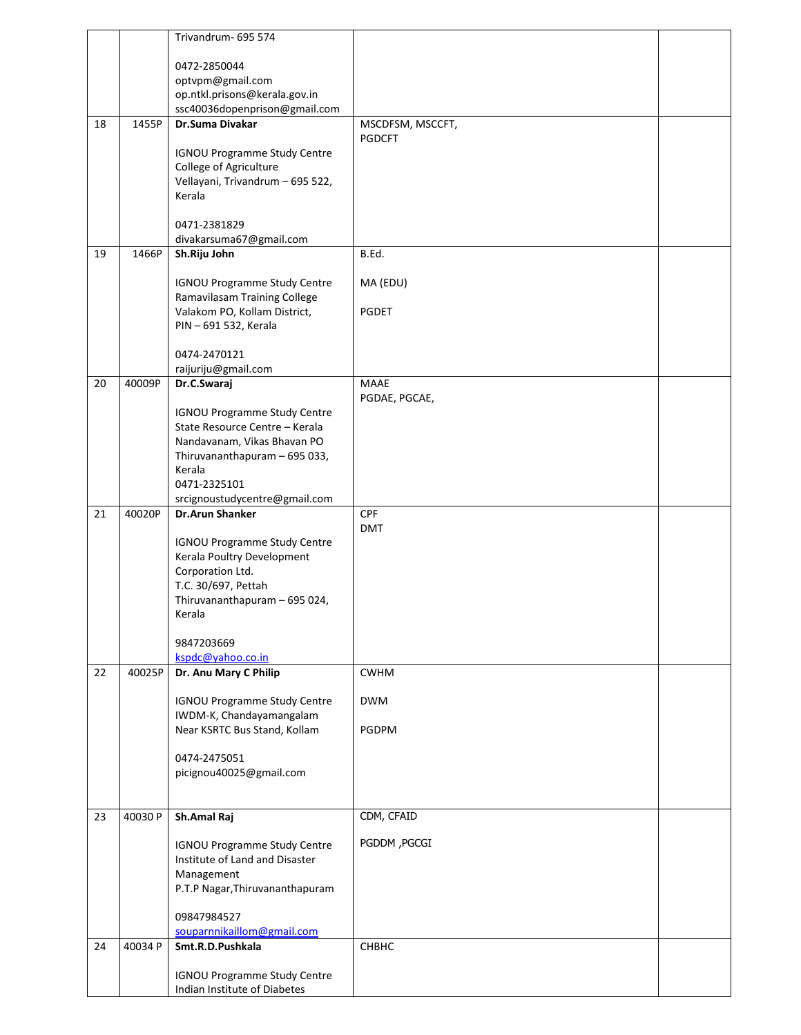|    |         | Trivandrum- 695 574                                          |                          |  |
|----|---------|--------------------------------------------------------------|--------------------------|--|
|    |         |                                                              |                          |  |
|    |         | 0472-2850044<br>optvpm@gmail.com                             |                          |  |
|    |         | op.ntkl.prisons@kerala.gov.in                                |                          |  |
|    |         | ssc40036dopenprison@gmail.com                                |                          |  |
| 18 | 1455P   | Dr.Suma Divakar                                              | MSCDFSM, MSCCFT,         |  |
|    |         | <b>IGNOU Programme Study Centre</b>                          | <b>PGDCFT</b>            |  |
|    |         | College of Agriculture                                       |                          |  |
|    |         | Vellayani, Trivandrum - 695 522,                             |                          |  |
|    |         | Kerala                                                       |                          |  |
|    |         |                                                              |                          |  |
|    |         | 0471-2381829<br>divakarsuma67@gmail.com                      |                          |  |
| 19 | 1466P   | Sh.Riju John                                                 | B.Ed.                    |  |
|    |         |                                                              |                          |  |
|    |         | <b>IGNOU Programme Study Centre</b>                          | MA (EDU)                 |  |
|    |         | Ramavilasam Training College<br>Valakom PO, Kollam District, | PGDET                    |  |
|    |         | PIN - 691 532, Kerala                                        |                          |  |
|    |         |                                                              |                          |  |
|    |         | 0474-2470121                                                 |                          |  |
| 20 | 40009P  | raijuriju@gmail.com<br>Dr.C.Swaraj                           | <b>MAAE</b>              |  |
|    |         |                                                              | PGDAE, PGCAE,            |  |
|    |         | <b>IGNOU Programme Study Centre</b>                          |                          |  |
|    |         | State Resource Centre - Kerala                               |                          |  |
|    |         | Nandavanam, Vikas Bhavan PO                                  |                          |  |
|    |         | Thiruvananthapuram - 695 033,<br>Kerala                      |                          |  |
|    |         | 0471-2325101                                                 |                          |  |
|    |         | srcignoustudycentre@gmail.com                                |                          |  |
| 21 | 40020P  | <b>Dr.Arun Shanker</b>                                       | <b>CPF</b><br><b>DMT</b> |  |
|    |         | <b>IGNOU Programme Study Centre</b>                          |                          |  |
|    |         | Kerala Poultry Development                                   |                          |  |
|    |         | Corporation Ltd.                                             |                          |  |
|    |         | T.C. 30/697, Pettah<br>Thiruvananthapuram - 695 024,         |                          |  |
|    |         | Kerala                                                       |                          |  |
|    |         |                                                              |                          |  |
|    |         | 9847203669                                                   |                          |  |
|    |         | kspdc@yahoo.co.in                                            |                          |  |
| 22 | 40025P  | Dr. Anu Mary C Philip                                        | <b>CWHM</b>              |  |
|    |         | <b>IGNOU Programme Study Centre</b>                          | <b>DWM</b>               |  |
|    |         | IWDM-K, Chandayamangalam                                     |                          |  |
|    |         | Near KSRTC Bus Stand, Kollam                                 | PGDPM                    |  |
|    |         | 0474-2475051                                                 |                          |  |
|    |         | picignou40025@gmail.com                                      |                          |  |
|    |         |                                                              |                          |  |
| 23 | 40030 P | Sh.Amal Raj                                                  | CDM, CFAID               |  |
|    |         |                                                              |                          |  |
|    |         | <b>IGNOU Programme Study Centre</b>                          | PGDDM, PGCGI             |  |
|    |         | Institute of Land and Disaster                               |                          |  |
|    |         | Management<br>P.T.P Nagar, Thiruvananthapuram                |                          |  |
|    |         |                                                              |                          |  |
|    |         | 09847984527                                                  |                          |  |
|    |         | souparnnikaillom@gmail.com                                   |                          |  |
| 24 | 40034 P | Smt.R.D.Pushkala                                             | СНВНС                    |  |
|    |         | <b>IGNOU Programme Study Centre</b>                          |                          |  |
|    |         | Indian Institute of Diabetes                                 |                          |  |